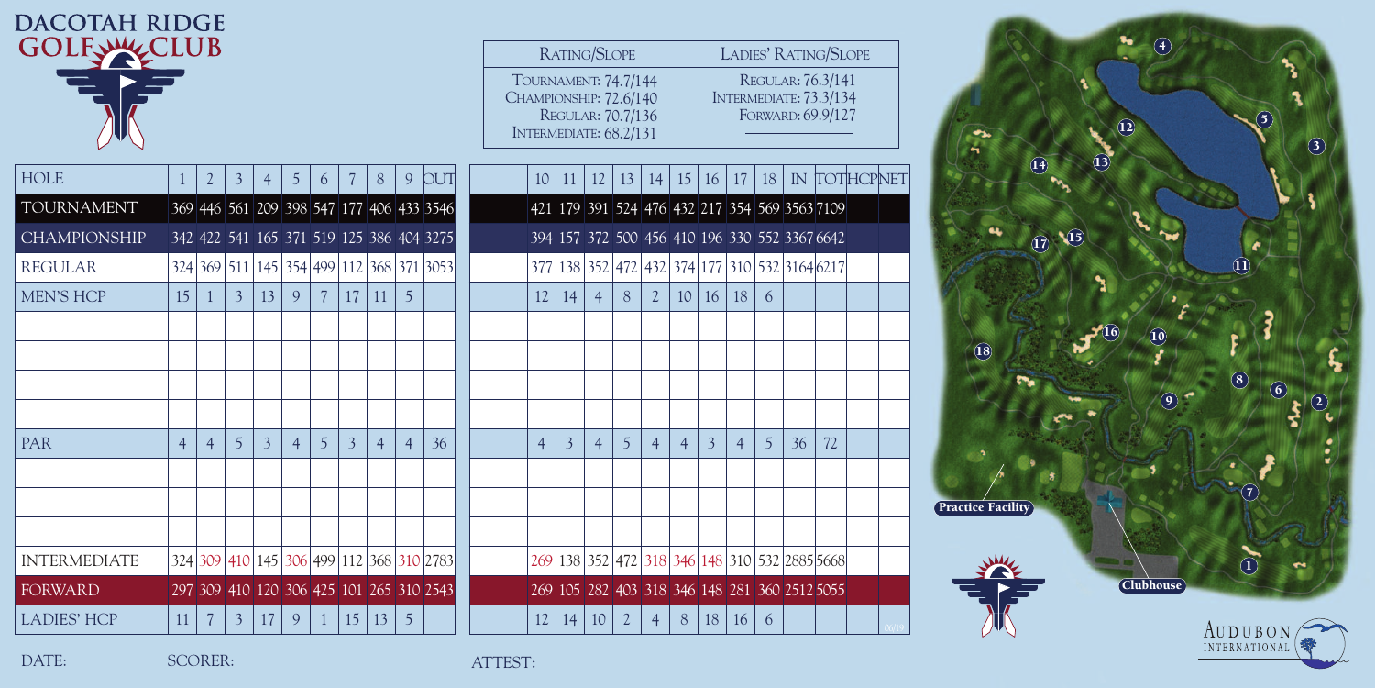| <b>DACOTAH RIDGE</b> |                |                |                |    |                |                |                |                |                |                                          |                                                                          |                         |                   |                   |                |                |                |                |                 |                                                                     |    |  |  |              |                          |                           |  |                  |                   |                          |              |
|----------------------|----------------|----------------|----------------|----|----------------|----------------|----------------|----------------|----------------|------------------------------------------|--------------------------------------------------------------------------|-------------------------|-------------------|-------------------|----------------|----------------|----------------|----------------|-----------------|---------------------------------------------------------------------|----|--|--|--------------|--------------------------|---------------------------|--|------------------|-------------------|--------------------------|--------------|
| GOLFWYCLUB           |                |                |                |    |                |                |                |                |                |                                          |                                                                          |                         | RATING/SLOPE      |                   |                |                |                |                |                 | LADIES' RATING/SLOPE                                                |    |  |  |              |                          |                           |  |                  |                   |                          |              |
|                      |                |                |                |    |                |                |                |                |                |                                          | TOURNAMENT: 74.7/144<br>CHAMPIONSHIP: 72.6/140<br>INTERMEDIATE: 68.2/131 |                         | REGULAR: 70.7/136 |                   |                |                |                |                |                 | REGULAR: 76.3/141<br>INTERMEDIATE: 73.3/134<br>FORWARD: 69.9/127    |    |  |  |              |                          |                           |  |                  |                   |                          |              |
| <b>HOLE</b>          |                | 2              | 3              |    | $\mathfrak{S}$ | 6              |                | $8\phantom{1}$ | 9              | <b>DUT</b>                               |                                                                          | 10 11                   |                   | $12 \mid 13 \mid$ |                |                |                |                |                 | 14   15   16   17   18   IN   TOTHCPNET                             |    |  |  |              |                          |                           |  |                  |                   |                          |              |
| TOURNAMENT           |                |                |                |    |                |                |                |                |                | 369 446 561 209 398 547 177 406 433 3546 |                                                                          |                         |                   |                   |                |                |                |                |                 | 421 179 391 524 476 432 217 354 569 3563 7109                       |    |  |  |              |                          |                           |  |                  |                   |                          |              |
| <b>CHAMPIONSHIP</b>  |                |                |                |    |                |                |                |                |                | 342 422 541 165 371 519 125 386 404 3275 |                                                                          |                         |                   |                   |                |                |                |                |                 | 394 157 372 500 456 410 196 330 552 3367 6642                       |    |  |  |              |                          | $\boxed{17}$ $\boxed{15}$ |  |                  |                   |                          |              |
| <b>REGULAR</b>       |                |                |                |    |                |                |                |                |                | 324 369 511 145 354 499 112 368 371 3053 |                                                                          |                         |                   |                   |                |                |                |                |                 | 377   138   352   472   432   374   177   310   532   3164   $6217$ |    |  |  |              |                          |                           |  |                  |                   |                          |              |
| <b>MEN'S HCP</b>     | 15             |                | 3 <sup>1</sup> | 13 | 9              | 7 <sup>7</sup> |                | 17 11 5        |                |                                          | 12                                                                       | 14                      | $\overline{4}$    | 8                 | $\mathbf{2}$   |                | 10 16 18 6     |                |                 |                                                                     |    |  |  |              |                          |                           |  |                  |                   |                          |              |
|                      |                |                |                |    |                |                |                |                |                |                                          |                                                                          |                         |                   |                   |                |                |                |                |                 |                                                                     |    |  |  |              |                          |                           |  |                  |                   |                          |              |
|                      |                |                |                |    |                |                |                |                |                |                                          |                                                                          |                         |                   |                   |                |                |                |                |                 |                                                                     |    |  |  | $({\bf 18})$ |                          |                           |  |                  |                   |                          |              |
|                      |                |                |                |    |                |                |                |                |                |                                          |                                                                          |                         |                   |                   |                |                |                |                |                 |                                                                     |    |  |  |              |                          |                           |  |                  | $\left( 9\right)$ |                          | $\mathbf{8}$ |
|                      |                |                |                |    |                |                |                |                |                |                                          |                                                                          |                         |                   |                   |                |                |                |                |                 |                                                                     |    |  |  |              |                          |                           |  |                  |                   |                          |              |
| <b>PAR</b>           | $\overline{4}$ | $\overline{4}$ | 5 <sup>5</sup> | 3  | $\overline{4}$ | $\overline{5}$ | $\overline{3}$ | $\overline{4}$ | $\overline{4}$ | 36                                       | $\overline{4}$                                                           | $\overline{\mathbf{3}}$ | $\overline{4}$    | 5 <sup>5</sup>    | $\overline{4}$ | $\overline{4}$ | $\overline{3}$ | $\overline{4}$ | $5\overline{)}$ | 36                                                                  | 72 |  |  |              |                          |                           |  |                  |                   |                          |              |
|                      |                |                |                |    |                |                |                |                |                |                                          |                                                                          |                         |                   |                   |                |                |                |                |                 |                                                                     |    |  |  |              |                          |                           |  |                  |                   |                          |              |
|                      |                |                |                |    |                |                |                |                |                |                                          |                                                                          |                         |                   |                   |                |                |                |                |                 |                                                                     |    |  |  |              | <b>Practice Facility</b> |                           |  |                  |                   |                          |              |
| <b>INTERMEDIATE</b>  |                |                |                |    |                |                |                |                |                | 324 309 410 145 306 499 112 368 310 2783 |                                                                          |                         |                   |                   |                |                |                |                |                 | 269 138 352 472 318 346 148 310 532 2885 5668                       |    |  |  |              |                          |                           |  |                  |                   |                          |              |
| <b>FORWARD</b>       |                |                |                |    |                |                |                |                |                | 297 309 410 120 306 425 101 265 310 2543 |                                                                          |                         |                   |                   |                |                |                |                |                 | 269 105 282 403 318 346 148 281 360 2512 5055                       |    |  |  |              |                          |                           |  | <b>Clubhouse</b> |                   |                          |              |
| <b>LADIES' HCP</b>   |                | $11 \mid 7$    | 3 <sup>1</sup> | 17 | 9              |                | 15             | 13             | $5^{\circ}$    |                                          | 12                                                                       | 14                      | 10                | $\overline{2}$    | $\overline{4}$ | 8              | 18             | 16             | 6               |                                                                     |    |  |  |              |                          |                           |  |                  |                   |                          |              |
|                      |                |                |                |    |                |                |                |                |                |                                          |                                                                          |                         |                   |                   |                |                |                |                |                 |                                                                     |    |  |  |              |                          |                           |  |                  |                   | AUDUBON<br>INTERNATIONAL |              |

**2**

**3**

DATE: SCORER: SCORER: ATTEST: